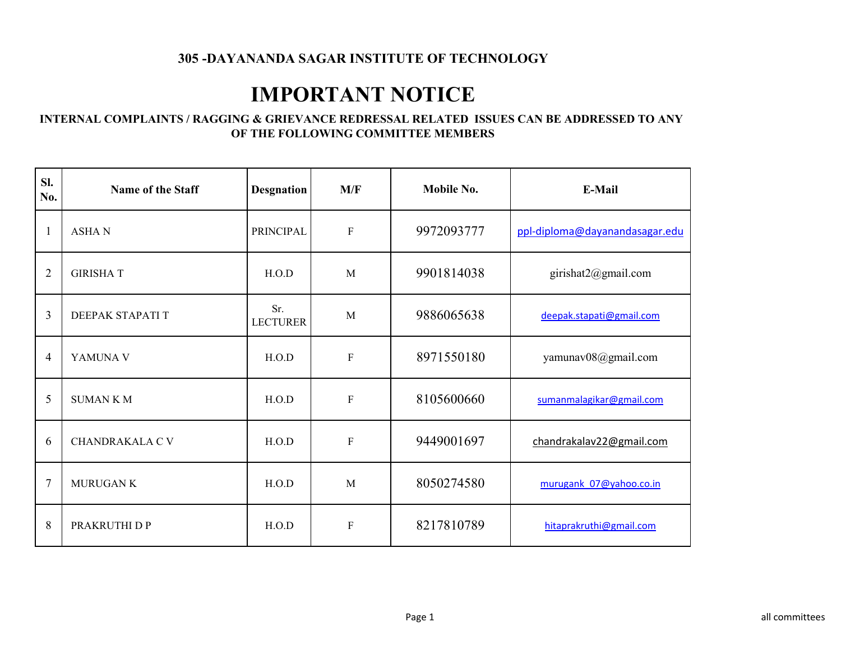# **IMPORTANT NOTICE**

#### **INTERNAL COMPLAINTS / RAGGING & GRIEVANCE REDRESSAL RELATED ISSUES CAN BE ADDRESSED TO ANY OF THE FOLLOWING COMMITTEE MEMBERS**

| Sl.<br>No.     | Name of the Staff      | <b>Desgnation</b>      | M/F          | Mobile No. | E-Mail                         |
|----------------|------------------------|------------------------|--------------|------------|--------------------------------|
|                | <b>ASHAN</b>           | <b>PRINCIPAL</b>       | ${\bf F}$    | 9972093777 | ppl-diploma@dayanandasagar.edu |
| $\overline{2}$ | <b>GIRISHAT</b>        | H.O.D                  | M            | 9901814038 | girishat2@gmail.com            |
| 3              | DEEPAK STAPATI T       | Sr.<br><b>LECTURER</b> | M            | 9886065638 | deepak.stapati@gmail.com       |
| 4              | YAMUNA V               | H.O.D                  | ${\bf F}$    | 8971550180 | yamunav08@gmail.com            |
| 5              | <b>SUMANKM</b>         | H.O.D                  | $\mathbf F$  | 8105600660 | sumanmalagikar@gmail.com       |
| 6              | <b>CHANDRAKALA C V</b> | H.O.D                  | ${\bf F}$    | 9449001697 | chandrakalav22@gmail.com       |
| $\overline{7}$ | <b>MURUGAN K</b>       | H.O.D                  | M            | 8050274580 | murugank 07@yahoo.co.in        |
| 8              | PRAKRUTHI D P          | H.O.D                  | $\mathbf{F}$ | 8217810789 | hitaprakruthi@gmail.com        |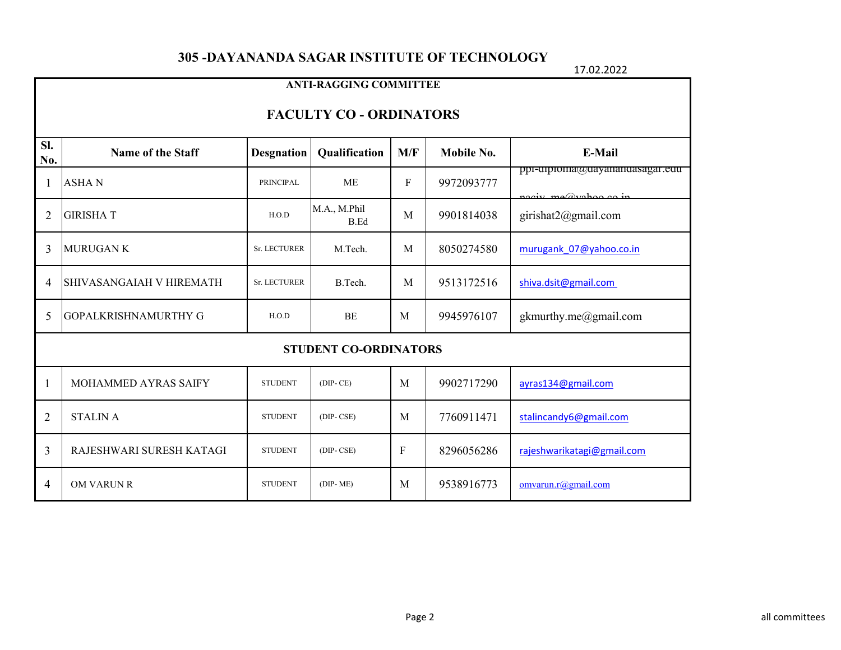17.02.2022

|                                                                                                             | <b>ANTI-RAGGING COMMITTEE</b>              |                |                              |                            |            |                                                        |  |  |  |  |
|-------------------------------------------------------------------------------------------------------------|--------------------------------------------|----------------|------------------------------|----------------------------|------------|--------------------------------------------------------|--|--|--|--|
|                                                                                                             | <b>FACULTY CO - ORDINATORS</b>             |                |                              |                            |            |                                                        |  |  |  |  |
| Sl.<br>M/F<br>Mobile No.<br>E-Mail<br><b>Name of the Staff</b><br><b>Desgnation</b><br>Qualification<br>No. |                                            |                |                              |                            |            |                                                        |  |  |  |  |
|                                                                                                             | <b>ASHAN</b>                               | PRINCIPAL      | <b>ME</b>                    | F                          | 9972093777 | ppi-cipioma@cayanancasagar.ecu<br>nogiu mo@yahoo oo in |  |  |  |  |
| $\overline{2}$                                                                                              | <b>GIRISHAT</b>                            | H.O.D          | M.A., M.Phil<br>M<br>B.Ed    |                            | 9901814038 | girishat2@gmail.com                                    |  |  |  |  |
| 3                                                                                                           | <b>MURUGAN K</b>                           | Sr. LECTURER   | M.Tech.                      | M                          | 8050274580 | murugank 07@yahoo.co.in                                |  |  |  |  |
| 4                                                                                                           | SHIVASANGAIAH V HIREMATH                   | Sr. LECTURER   | B.Tech.                      | 9513172516<br>$\mathbf{M}$ |            | shiva.dsit@gmail.com                                   |  |  |  |  |
| 5                                                                                                           | <b>GOPALKRISHNAMURTHY G</b>                | H.O.D          | <b>BE</b>                    | M                          | 9945976107 | gkmurthy.me@gmail.com                                  |  |  |  |  |
|                                                                                                             |                                            |                | <b>STUDENT CO-ORDINATORS</b> |                            |            |                                                        |  |  |  |  |
| 1                                                                                                           | MOHAMMED AYRAS SAIFY                       | <b>STUDENT</b> | $(DIP-CE)$                   | M                          | 9902717290 | ayras134@gmail.com                                     |  |  |  |  |
| $\overline{2}$                                                                                              | <b>STALIN A</b><br><b>STUDENT</b>          |                | $(DIP-CSE)$                  | M                          | 7760911471 | stalincandy6@gmail.com                                 |  |  |  |  |
| 3                                                                                                           | RAJESHWARI SURESH KATAGI<br><b>STUDENT</b> |                | $(DIP-CSE)$                  | F                          | 8296056286 | rajeshwarikatagi@gmail.com                             |  |  |  |  |
| $\overline{4}$                                                                                              | <b>OM VARUN R</b>                          | <b>STUDENT</b> | $(DIP-ME)$                   | M                          | 9538916773 | omvarun.r@gmail.com                                    |  |  |  |  |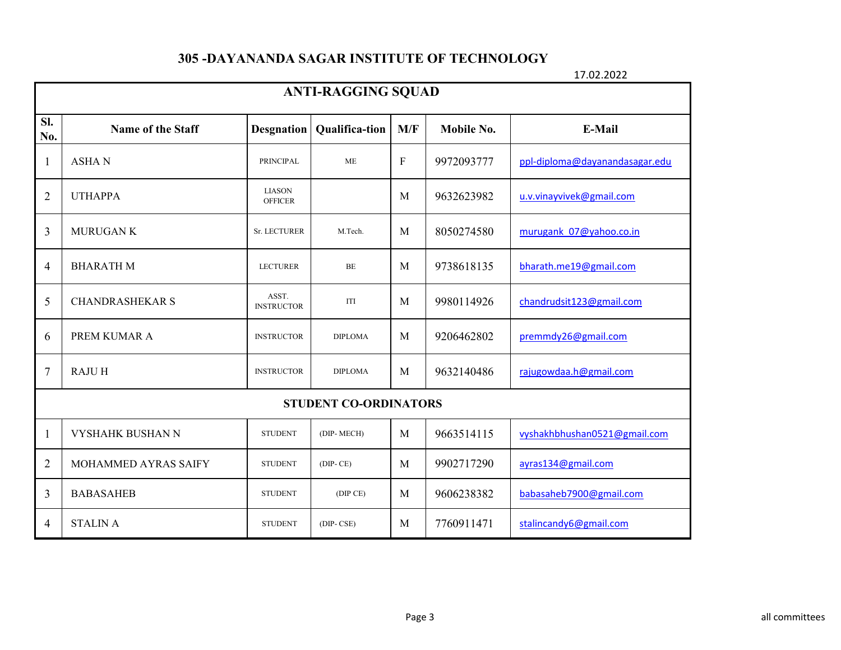17.02.2022

|                | <b>ANTI-RAGGING SQUAD</b> |                                 |                              |           |                   |                                |  |  |  |
|----------------|---------------------------|---------------------------------|------------------------------|-----------|-------------------|--------------------------------|--|--|--|
| SI.<br>No.     | Name of the Staff         | <b>Desgnation</b>               | M/F<br><b>Qualifica-tion</b> |           | <b>Mobile No.</b> | E-Mail                         |  |  |  |
| 1              | <b>ASHAN</b>              | PRINCIPAL                       | <b>ME</b>                    | ${\bf F}$ | 9972093777        | ppl-diploma@dayanandasagar.edu |  |  |  |
| $\overline{2}$ | <b>UTHAPPA</b>            | <b>LIASON</b><br><b>OFFICER</b> |                              | M         | 9632623982        | u.v.vinayvivek@gmail.com       |  |  |  |
| 3              | <b>MURUGAN K</b>          | <b>Sr. LECTURER</b>             | M.Tech.                      | M         | 8050274580        | murugank 07@yahoo.co.in        |  |  |  |
| 4              | <b>BHARATH M</b>          | <b>LECTURER</b>                 | $BE$                         | M         | 9738618135        | bharath.me19@gmail.com         |  |  |  |
| 5              | <b>CHANDRASHEKAR S</b>    | ASST.<br><b>INSTRUCTOR</b>      | ITI                          | M         | 9980114926        | chandrudsit123@gmail.com       |  |  |  |
| 6              | PREM KUMAR A              | <b>INSTRUCTOR</b>               | <b>DIPLOMA</b>               | M         | 9206462802        | premmdy26@gmail.com            |  |  |  |
| 7              | <b>RAJUH</b>              | <b>INSTRUCTOR</b>               | <b>DIPLOMA</b>               | M         | 9632140486        | rajugowdaa.h@gmail.com         |  |  |  |
|                |                           |                                 | <b>STUDENT CO-ORDINATORS</b> |           |                   |                                |  |  |  |
| 1              | <b>VYSHAHK BUSHAN N</b>   | <b>STUDENT</b>                  | (DIP-MECH)                   | M         | 9663514115        | vyshakhbhushan0521@gmail.com   |  |  |  |
| $\overline{2}$ | MOHAMMED AYRAS SAIFY      | <b>STUDENT</b>                  | $(DIP-CE)$                   | M         | 9902717290        | ayras134@gmail.com             |  |  |  |
| 3              | <b>BABASAHEB</b>          | <b>STUDENT</b>                  | (DIP CE)                     | M         | 9606238382        | babasaheb7900@gmail.com        |  |  |  |
| 4              | <b>STALIN A</b>           | <b>STUDENT</b>                  | $(DIP-CSE)$                  | M         | 7760911471        | stalincandy6@gmail.com         |  |  |  |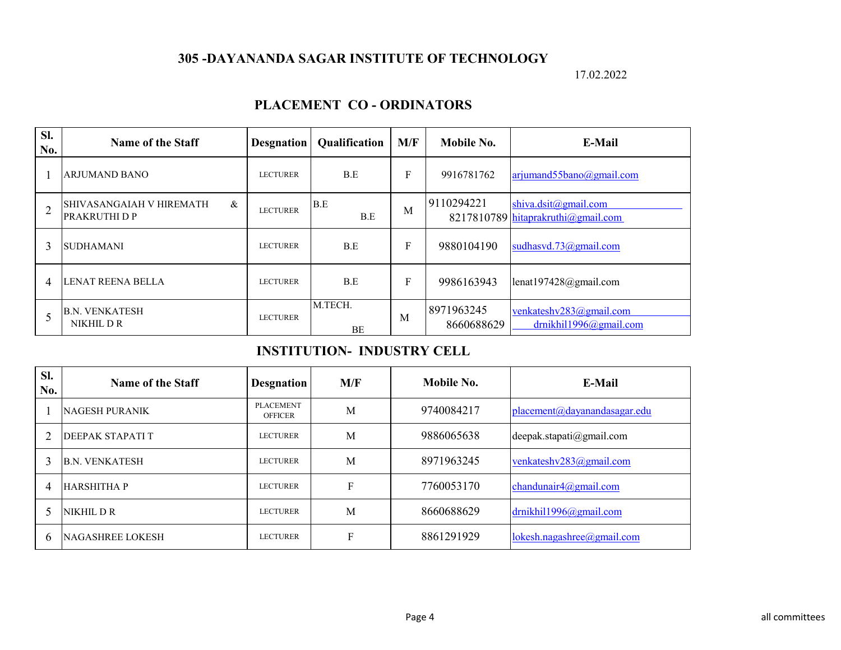17.02.2022

#### **PLACEMENT CO - ORDINATORS**

| Sl.<br>No.     | Name of the Staff                                               | <b>Desgnation</b> | <b>Qualification</b> | M/F | Mobile No.               | E-Mail                                                     |
|----------------|-----------------------------------------------------------------|-------------------|----------------------|-----|--------------------------|------------------------------------------------------------|
|                | <b>ARJUMAND BANO</b>                                            | <b>LECTURER</b>   | B.E                  | F   | 9916781762               | arjumand55bano@gmail.com                                   |
| $\overline{2}$ | $\&$<br><b>SHIVASANGAIAH V HIREMATH</b><br><b>PRAKRUTHI D P</b> | <b>LECTURER</b>   | B.E<br>B.E           | M   | 9110294221               | shiva.dsit@gmail.com<br>8217810789 hitaprakruthi@gmail.com |
| 3              | <b>SUDHAMANI</b>                                                | <b>LECTURER</b>   | B.E                  | F   | 9880104190               | sudhasvd.73@gmail.com                                      |
| 4              | LENAT REENA BELLA                                               | <b>LECTURER</b>   | B.E                  | F   | 9986163943               | lenat197428@gmail.com                                      |
|                | <b>B.N. VENKATESH</b><br>NIKHIL D R                             | <b>LECTURER</b>   | M.TECH.<br><b>BE</b> | M   | 8971963245<br>8660688629 | venkateshv283@gmail.com<br>drnikhil1996@gmail.com          |

#### **INSTITUTION- INDUSTRY CELL**

| SI.<br>No.                  | Name of the Staff       | <b>Desgnation</b>                  | M/F | Mobile No. | E-Mail                       |
|-----------------------------|-------------------------|------------------------------------|-----|------------|------------------------------|
|                             | <b>NAGESH PURANIK</b>   | <b>PLACEMENT</b><br><b>OFFICER</b> | M   | 9740084217 | placement@dayanandasagar.edu |
| $\mathcal{D}_{\mathcal{L}}$ | DEEPAK STAPATI T        | LECTURER                           | M   | 9886065638 | deepak.stapati@gmail.com     |
| 3                           | <b>B.N. VENKATESH</b>   | LECTURER                           | M   | 8971963245 | venkateshv283@gmail.com      |
| 4                           | HARSHITHA P             | LECTURER                           | F   | 7760053170 | chandunair4@gmail.com        |
| 5                           | NIKHIL D R              | LECTURER                           | M   | 8660688629 | drnikhil1996@gmail.com       |
| 6                           | <b>NAGASHREE LOKESH</b> | <b>LECTURER</b>                    | F   | 8861291929 | lokesh.nagashree@gmail.com   |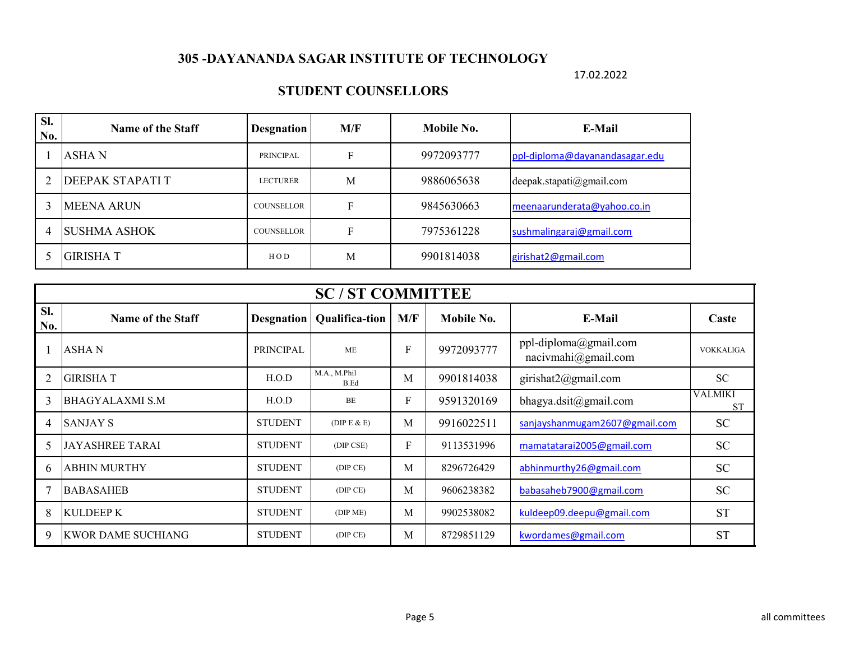17.02.2022

### **STUDENT COUNSELLORS**

| SI.<br>No. | Name of the Staff   | <b>Desgnation</b> | M/F | Mobile No. | E-Mail                         |
|------------|---------------------|-------------------|-----|------------|--------------------------------|
|            | ASHA N              | PRINCIPAL         | F   | 9972093777 | ppl-diploma@dayanandasagar.edu |
|            | DEEPAK STAPATI T    | <b>LECTURER</b>   | M   | 9886065638 | deepak.stapati@gmail.com       |
|            | <b>MEENA ARUN</b>   | COUNSELLOR        | F   | 9845630663 | meenaarunderata@yahoo.co.in    |
|            | <b>SUSHMA ASHOK</b> | <b>COUNSELLOR</b> | F   | 7975361228 | sushmalingaraj@gmail.com       |
|            | <b>GIRISHAT</b>     | HOD               | Μ   | 9901814038 | girishat2@gmail.com            |

|            | <b>SC/ST COMMITTEE</b>    |                   |                             |              |            |                                              |                             |  |  |  |
|------------|---------------------------|-------------------|-----------------------------|--------------|------------|----------------------------------------------|-----------------------------|--|--|--|
| SI.<br>No. | <b>Name of the Staff</b>  | <b>Desgnation</b> | <b>Qualifica-tion</b>       | M/F          | Mobile No. | E-Mail                                       | Caste                       |  |  |  |
|            | ASHA N                    | <b>PRINCIPAL</b>  | <b>ME</b>                   | $\mathbf{F}$ | 9972093777 | ppl-diploma@gmail.com<br>nacivmahi@gmail.com | <b>VOKKALIGA</b>            |  |  |  |
|            | <b>GIRISHA T</b>          | H.O.D             | M.A., M.Phil<br><b>B.Ed</b> | M            | 9901814038 | girishat2@gmail.com                          | <b>SC</b>                   |  |  |  |
| 3          | <b>BHAGYALAXMI S.M</b>    | H.O.D             | BE                          | F            | 9591320169 | bhagya.dsit@gmail.com                        | <b>VALMIKI</b><br><b>ST</b> |  |  |  |
| 4          | <b>SANJAY S</b>           | <b>STUDENT</b>    | (DIP E & E)                 | M            | 9916022511 | sanjayshanmugam2607@gmail.com                | <b>SC</b>                   |  |  |  |
| 5          | <b>JAYASHREE TARAI</b>    | <b>STUDENT</b>    | (DIP CSE)                   | ${\bf F}$    | 9113531996 | mamatatarai2005@gmail.com                    | <b>SC</b>                   |  |  |  |
| 6          | <b>ABHIN MURTHY</b>       | <b>STUDENT</b>    | (DIP CE)                    | M            | 8296726429 | abhinmurthy26@gmail.com                      | <b>SC</b>                   |  |  |  |
|            | <b>BABASAHEB</b>          | <b>STUDENT</b>    | (DIP CE)                    | M            | 9606238382 | babasaheb7900@gmail.com                      | <b>SC</b>                   |  |  |  |
| 8          | <b>KULDEEP K</b>          | <b>STUDENT</b>    | (DIP ME)                    | M            | 9902538082 | kuldeep09.deepu@gmail.com                    | <b>ST</b>                   |  |  |  |
| 9          | <b>KWOR DAME SUCHIANG</b> | <b>STUDENT</b>    | (DIP CE)                    | M            | 8729851129 | kwordames@gmail.com                          | <b>ST</b>                   |  |  |  |